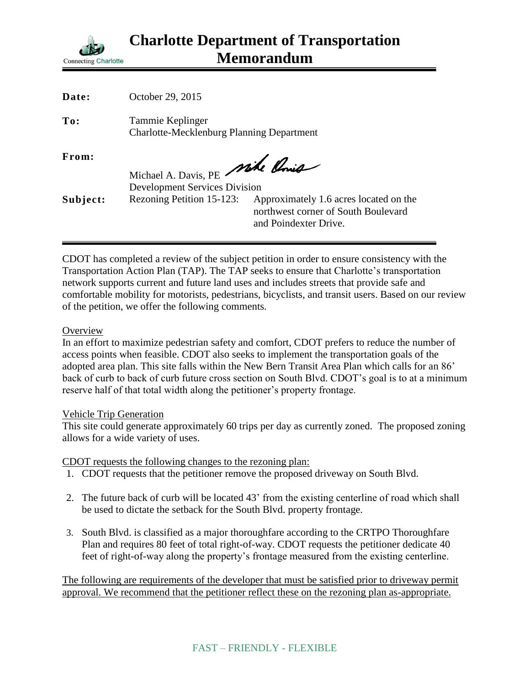

| Date:    | October 29, 2015                                                        |                                                                                                        |
|----------|-------------------------------------------------------------------------|--------------------------------------------------------------------------------------------------------|
| To:      | Tammie Keplinger<br><b>Charlotte-Mecklenburg Planning Department</b>    |                                                                                                        |
| From:    | Michael A. Davis, PE Mike Ponis<br><b>Development Services Division</b> |                                                                                                        |
| Subject: | Rezoning Petition 15-123:                                               | Approximately 1.6 acres located on the<br>northwest corner of South Boulevard<br>and Poindexter Drive. |

CDOT has completed a review of the subject petition in order to ensure consistency with the Transportation Action Plan (TAP). The TAP seeks to ensure that Charlotte's transportation network supports current and future land uses and includes streets that provide safe and comfortable mobility for motorists, pedestrians, bicyclists, and transit users. Based on our review of the petition, we offer the following comments.

## **Overview**

In an effort to maximize pedestrian safety and comfort, CDOT prefers to reduce the number of access points when feasible. CDOT also seeks to implement the transportation goals of the adopted area plan. This site falls within the New Bern Transit Area Plan which calls for an 86' back of curb to back of curb future cross section on South Blvd. CDOT's goal is to at a minimum reserve half of that total width along the petitioner's property frontage.

## Vehicle Trip Generation

This site could generate approximately 60 trips per day as currently zoned. The proposed zoning allows for a wide variety of uses.

CDOT requests the following changes to the rezoning plan:

- 1. CDOT requests that the petitioner remove the proposed driveway on South Blvd.
- 2. The future back of curb will be located 43' from the existing centerline of road which shall be used to dictate the setback for the South Blvd. property frontage.
- 3. South Blvd. is classified as a major thoroughfare according to the CRTPO Thoroughfare Plan and requires 80 feet of total right-of-way. CDOT requests the petitioner dedicate 40 feet of right-of-way along the property's frontage measured from the existing centerline.

The following are requirements of the developer that must be satisfied prior to driveway permit approval. We recommend that the petitioner reflect these on the rezoning plan as-appropriate.